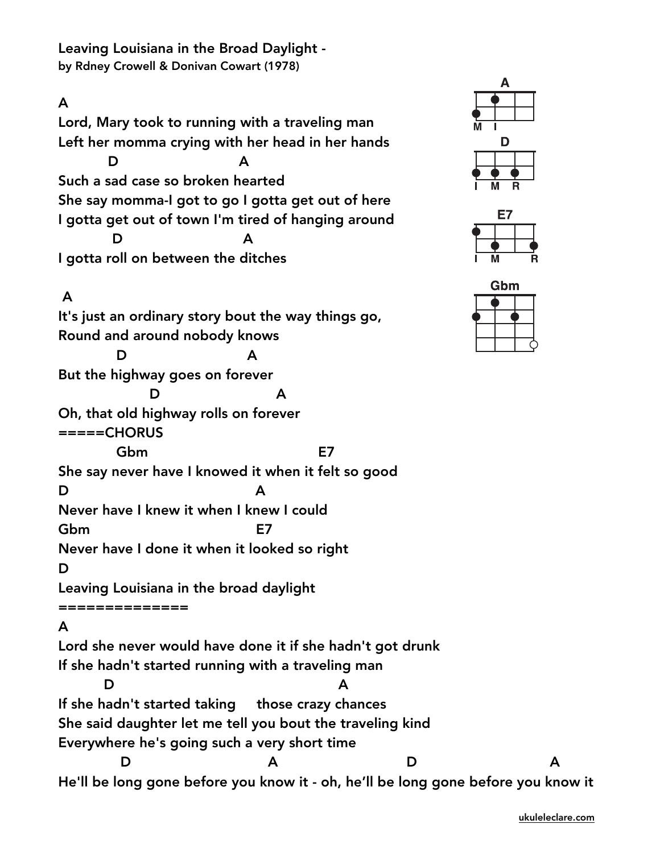Leaving Louisiana in the Broad Daylight by Rdney Crowell & Donivan Cowart (1978)

#### A

Lord, Mary took to running with a traveling man Left her momma crying with her head in her hands D A Such a sad case so broken hearted She say momma-I got to go I gotta get out of here I gotta get out of town I'm tired of hanging around D A I gotta roll on between the ditches

## A

It's just an ordinary story bout the way things go, Round and around nobody knows D A But the highway goes on forever D A Oh, that old highway rolls on forever =====CHORUS Gbm E7 She say never have I knowed it when it felt so good D A Never have I knew it when I knew I could Gbm E7 Never have I done it when it looked so right D Leaving Louisiana in the broad daylight ============== A Lord she never would have done it if she hadn't got drunk If she hadn't started running with a traveling man D A If she hadn't started taking those crazy chances She said daughter let me tell you bout the traveling kind Everywhere he's going such a very short time D A D A







He'll be long gone before you know it - oh, he'll be long gone before you know it